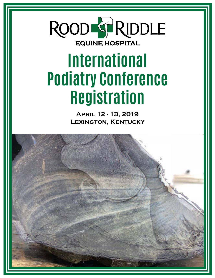# ROOD G RIDDLE **EQUINE HOSPITAL**

# **International Podiatry Conference Registration**

**April 12 - 13, 2019 Lexington, Kentucky**

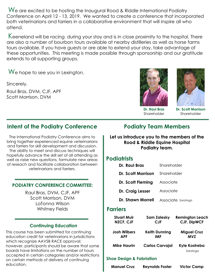We are excited to be hosting the Inaugural Rood & Riddle International Podiatry Conference on April 12 - 13, 2019. We wanted to create a conference that incorporated both veterinarians and farriers in a collaborative environment that will inspire all who attend.

Keeneland will be racing during your stay and is in close proximity to the hospital. There are also a number of bourbon tours available at nearby distilleries as well as horse farms tours available. If you have guests or are able to extend your stay, take advantage of these opportunities. This meeting is made possible through sponsorship and our gratitude extends to all supporting groups.

We hope to see you in Lexington.

Sincerely,

Raul Bras, DVM, CJF, APF Scott Morrison, DVM



**Dr. Raul Bras** Shareholder

#### **Dr. Scott Morrison Shareholder**

#### **Intent of the Podiatry Conference**

The International Podiatry Conference aims to bring together experienced equine veterinarians and farriers for skill development and discussion. The ability to meet and discuss techniques will hopefully advance the skill set of all attending as well as raise new questions, formulate new areas of reseach and facilitate collaboration between veterinarians and farriers.

#### **PODIATRY CONFERENCE COMMITTEE:**

Raul Bras, DVM, CJF, APF Scott Morrison, DVM LaTonna Wilson Whitney Fields

#### **Continuing Education**

This course has been submitted for continuing education credit for veterinarians in jurisdictions which recognize AAVSB RACE approval; however, participants should be aware that some boards have limitations on the number of hours accepted in certain categories and/or restrictions on certain methods of delivery of continuing education.

#### **Podiatry Team Members**

**Let us introduce you to the members of the Rood & Riddle Equine Hospital Podiatry team.**

#### **Podiatrists**

| Dr. Raul Bras      | Shareholder        |  |
|--------------------|--------------------|--|
| Dr. Scott Morrison | Shareholder        |  |
| Dr. Scott Fleming  | Associate          |  |
| Dr. Craig Lesser   | Associate          |  |
| Dr. Shawn Morrell  | Associate Saratoga |  |
| <b>Farriers</b>    |                    |  |

| <b>Stuart Muir</b>  | <b>Sam Zalesky</b>     | <b>Remington Leach</b>    |
|---------------------|------------------------|---------------------------|
| <b>NZCF, CJF</b>    | <b>CJF</b>             | <b>CJF, DipWCF</b>        |
| <b>Josh Wilbers</b> | <b>Keith Dunning</b>   | <b>Miguel Cruz</b>        |
| <b>APF</b>          | <b>IMF</b>             | <b>MVZ</b>                |
| <b>Mike Haurin</b>  | <b>Carlos Carvajal</b> | Kyle Kostreba<br>Saratoga |
|                     |                        |                           |

#### **Shoe Design & Fabriation**

| <b>Victor Camp</b><br><b>Reynolds Foster</b><br><b>Manuel Cruz</b> |  |
|--------------------------------------------------------------------|--|
|--------------------------------------------------------------------|--|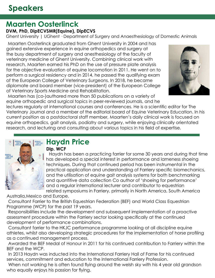### **Maarten Oosterlinck**

#### **DVM, PhD, DipECVSMR(Equine), DipECVS**

Ghent University | UGhent · Department of Surgery and Anaesthesiology of Domestic Animals

Maarten Oosterlinck graduated from Ghent University in 2004 and has gained extensive experience in equine orthopedics and surgery at the busy department of surgery and anesthesiology of the faculty of veterinary medicine of Ghent University. Combining clinical work with research, Maarten earned his PhD on the use of pressure plate analysis for the objective evaluation of equine locomotion in 2011. He went on to perform a surgical residency and in 2014, he passed the qualifying exam of the European College of Veterinary Surgeons. In 2018, he became diplomate and board member (vice-president) of the European College of Veterinary Sports Medicine and Rehabilitation.



Maarten has (co-)authored more than 50 publications on a variety of equine orthopedic and surgical topics in peer-reviewed journals, and he

lectures regularly at international courses and conferences. He is a scientific editor for The Veterinary Journal and a member of the editorial board of Equine Veterinary Education. In his current position as a postdoctoral staff member, Maarten's daily clinical work is focused on equine orthopedics, gait analysis, podiatry and surgery, while enjoying clinically orientated research, and lecturing and consulting about various topics in his field of expertise.



# **Haydn Price**

#### **Dip. WCF**

 Haydn has been a practicing farrier for some 30 years and during that time has developed a special interest in performance and lameness shoeing techniques. During that continued period has been instrumental in the practical application and understanding of Farriery specific biomechanics, and the utilisation of equine gait analysis systems for both benchmarking and quantitive data collection Co author of 'shoeing for performance' and a regular international lecturer and contributor to equestrian related symposiums in Farriery, primarily in North America, South America

Australia,Mexico and Europe.

Consultant Farrier to the British Equestrian Federation (BEF) and World Class Equestrian Programme (WCP) for the past 19 years.

Responsibilities include the development and subsequent implementation of a proactive assessment procedure within the Farriery sector looking specifically at the continued development of performance combinations.

Consultant farrier to the HKJC performance programme looking at all discipline equine athletes, whilst also developing strategic procedures for the implementation of horse profiling as a continued management process.

Awarded the BEF Medal of Honour in 2011 for his continued contribution to Farriery within the BEF and the WCP.

In 2013 Haydn was inducted into the International Farriery Hall of Fame for his continued services, commitment and education to the International Farriery Profession.

When not working he is often found flying around the welsh sky with his 4 year old grandson who equally enjoys his passion for flying.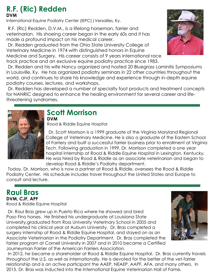#### **R.F. (Ric) Redden DVM**

International Equine Podiatry Center (IEPC)|Versailles, Ky.

R.F. (Ric) Redden, D.V.M., is a lifelong horseman, farrier and veterinarian. His shoeing career began in the early 60s and it has made a profound impact on his medical career.

Dr. Redden graduated from the Ohio State University College of Veterinary Medicine in 1974 with distinguished honors in Equine Medicine and Surgery. His career consists of 9 years international race track practice and an exclusive equine podiatry practice since 1983.

Dr. Redden and his wife Nancy organized and hosted 20 Bluegrass Laminitis Symposiums in Louisville, Ky. He has organized podiatry seminars in 22 other countries throughout the world, and continues to share his knowledge and experience through in-depth equine podiatry courses, lectures, and workshops.

Dr. Redden has developed a number of specialty foot products and treatment concepts for NANRIC designed to enhance the healing environment for several career and lifethreatening syndromes.



#### **Scott Morrison DVM**

Rood & Riddle Equine Hospital

 Dr. Scott Morrison is a 1999 graduate of the Virginia Maryland Regional College of Veterinary Medicine. He is also a graduate of the Eastern School of Farriery and built a successful farrier business prior to enrollment at Virginia Tech. Following graduation in 1999, Dr. Morrison completed a one year hospital internship at Rood & Riddle Equine Hospital in Lexington, Kentucky. He was hired by Rood & Riddle as an associate veterinarian and began to develop Rood & Riddle's Podiatry department.

Today, Dr. Morrison, who is now a partner at Rood & Riddle, oversees the Rood & Riddle Podiatry Center. His schedule includes travel throughout the United States and Europe to consult and lecture.

# **Raul Bras**

**DVM, CJF, APF** Rood & Riddle Equine Hospital

Dr. Raul Bras grew up in Puerto Rico where he showed and bred Paso Fino horses. He finished his undergraduate at Louisiana State University,graduated from Ross University Veterinary School in 2005 and completed his clinical year at Auburn University. Dr. Bras completed a surgery internship at Rood & Riddle Equine Hospital, and stayed on as an Associate Veterinarian in the Podiatry Department. Dr. Bras completed the farrier program at Cornell University in 2007 and in 2010 became a Certified Journeyman Farrier of the American Farriers Association.



In 2012, he became a shareholder at Rood & Riddle Equine Hospital. Dr. Bras currently travels throughout the U.S. as well as internationally. He is devoted for the better of the vet-farrier relationship and is an active participant the AAEP, NEAEP, AAPF, AFA, and many others. In 2015, Dr. Bras was inducted into the International Equine Veterinarian Hall of Fame.

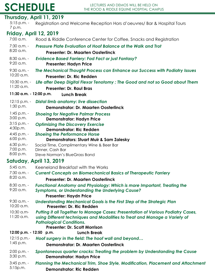#### **Thursday, April 11, 2019**

**Friday, April 12, 2019** 7:30 a.m. - 8:20 a.m. 7:00 a.m. Rood & Riddle Conference Center for Coffee, Snacks and Registration *Pressure Plate Evaluation of Hoof Balance at the Walk and Trot* **Presenter: Dr. Maarten Oosterlinck** 5:15 p.m. - Registration and Welcome Reception Hors d'oeuvres/ Bar & Hospital Tours 7 p.m.

- 8:30 a.m. 9:20 a.m. *Evidence Based Farriery: Fad Fact or just Fantasy?* **Presenter: Hadyn Price**
- 9:30 a.m. 10:20 a.m. *The Mechanical Thought Process can Enhance our Success with Podiatry Issues* **Presenter: Dr. Ric Redden**
- 10:30 a.m. *Life after Deep Digital Flexor Tenotomy ; The Good and not so Good about Them*
- 11:20 a.m. **Presenter: Dr. Raul Bras**
- **11:30 a.m. 12:00 p.m. Lunch Break**

| $12:15 p.m. -$             | <b>Distal limb anatomy: live dissection</b>                                    |
|----------------------------|--------------------------------------------------------------------------------|
| 1:30 p.m.                  | <b>Demonstrator: Dr. Maarten Oosterlinck</b>                                   |
| $1:45$ p.m. -<br>3:00 p.m. | <b>Shoeing for Negative Palmar Process</b><br><b>Demonstrator: Hadyn Price</b> |
| $3:15 p.m. -$<br>4:30p.m.  | <b>Optimizing the Discovery Exercise</b><br><b>Demonstrator: Ric Redden</b>    |
| $4:45$ p.m. -              | <b>Shoeing the Performance Horse</b>                                           |
| 6:00 p.m.                  | <b>Demonstrators: Stuart Muir &amp; Sam Zalesky</b>                            |
| $6:30$ p.m.-<br>7:00 p.m.  | Social Time, Complimentary Wine & Beer Bar<br>Dinner, Cash Bar                 |
| 8:00 p.m.                  | Steve Norman's BlueGrass Band                                                  |

#### **Satuday, April 13, 2019**

| $5:45$ a.m.                                | Keeneland Breakfast with the Works                                                                                                                                                                                                        |
|--------------------------------------------|-------------------------------------------------------------------------------------------------------------------------------------------------------------------------------------------------------------------------------------------|
| 7:30 a.m. -                                | <b>Current Concepts on Biomechanical Basics of Therapeutic Farriery</b>                                                                                                                                                                   |
| 8:20 a.m.                                  | <b>Presenter: Dr. Maarten Oosterlinck</b>                                                                                                                                                                                                 |
| $8:30$ a.m. -<br>$9:20$ a.m.               | <b>Functional Anatomy and Physiology: Which is more Important, Treating the</b><br><b>Symptoms, or Understanding the Underlying Cause?</b>                                                                                                |
|                                            | <b>Presenter: Haydn Price</b>                                                                                                                                                                                                             |
| $9:30$ a.m. -<br>10:20 a.m.                | Understanding Mechanical Goals is the First Step of the Strategic Plan<br>Presenter: Dr. Ric Redden                                                                                                                                       |
| $10:30$ a.m-<br>$11:20$ a.m.               | Putting it all Together to Manage Cases: Presentation of Various Podiatry Cases,<br>using Different techniques and Modalities to Treat and Manage a Variety of<br><b>Pathological Conditions.</b><br><b>Presenter: Dr. Scott Morrison</b> |
| $12:00$ p.m. $-12:50$ p.m.                 | <b>Lunch Break</b>                                                                                                                                                                                                                        |
| $12:15$ p.m.-                              | Hoof surgery in the field: The hoof wall and beyond                                                                                                                                                                                       |
| $1:45$ p.m.                                | <b>Demonstrator: Dr. Maarten Oosterlinck</b>                                                                                                                                                                                              |
| $2:00$ p.m. -<br>3:30 p.m.                 | Spontaneous quarter cracks: Treating the problem by Understanding the Cause<br><b>Demonstrator: Hadyn Price</b>                                                                                                                           |
| $3:45$ p.m. -<br>$F: T \rightarrow \infty$ | Planning the Mechanical Trim, Shoe Style, Modification, Placement and Attachment                                                                                                                                                          |

5:15p.m. **Demonstrator: Ric Redden**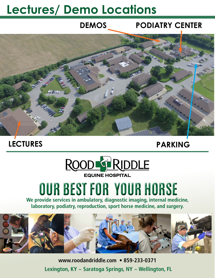# **Lectures/ Demo Locations**

#### **PODIATRY CENTER DEMOS**



### **LECTURES**

# **PARKING**



# **OUR BEST FOR YOUR HORSE**

**We provide services in ambulatory, diagnostic imaging, internal medicine, laboratory, podiatry, reproduction, sport horse medicine, and surgery.**



**www.roodandriddle.com • 859-233-0371 Lexington, KY ~ Saratoga Springs, NY ~ Wellington, FL**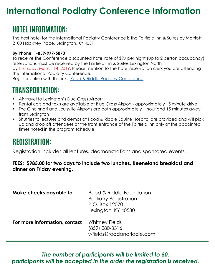# **International Podiatry Conference Information**

# **HOTEL INFORMATION:**

The host hotel for the International Podiatry Conference is the Fairfield Inn & Suites by Marriott, 2100 Hackney Place, Lexington, KY 40511

#### **By Phone: 1-859-977-5870**

To receive the Conference discounted hotel rate of \$99 per night (up to 2 person occupancy), reservations must be received by the Fairfield Inn & Suites Lexington North by Thursday, March 14, 2019. Please mention to the hotel reservation clerk you are attending the International Podiatry Conference. Register online with this link: [Rood & Riddle P](https://www.marriott.com/event-reservations/reservation-link.mi?id=1548083200338&key=GRP&app=resvlink)odiatry Conference

### **TRANSPORTATION:**

- Air travel to Lexington's Blue Grass Airport
- Rental cars and taxis are available at Blue Grass Airport approximately 15 minute drive
- The Cincinnati and Louisville Airports are both approximately 1 hour and 15 minutes away from Lexington
- Shuttles to lectures and demos at Rood & Riddle Equine Hospital are provided and will pick up and drop off attendees at the front entrance of the Fairfield Inn only at the appointed times noted in the program schedule.

# **REGISTRATION:**

Registration includes all lectures, deomonstrations and sponsored events.

#### **FEES: \$985.00 for two days to include two lunches, Keeneland breakfast and dinner on Friday evening.**

| Make checks payable to:       | Rood & Riddle Foundation<br><b>Podiatry Registration</b><br>P.O. Box 12070<br>Lexington, KY 40580 |
|-------------------------------|---------------------------------------------------------------------------------------------------|
| For more information, contact | Whitney Fields<br>(859) 280-3316<br>wfields@roodandriddle.com                                     |

*The number of participants will be limited to 60, participants will be accepted in the order the registration is received.*